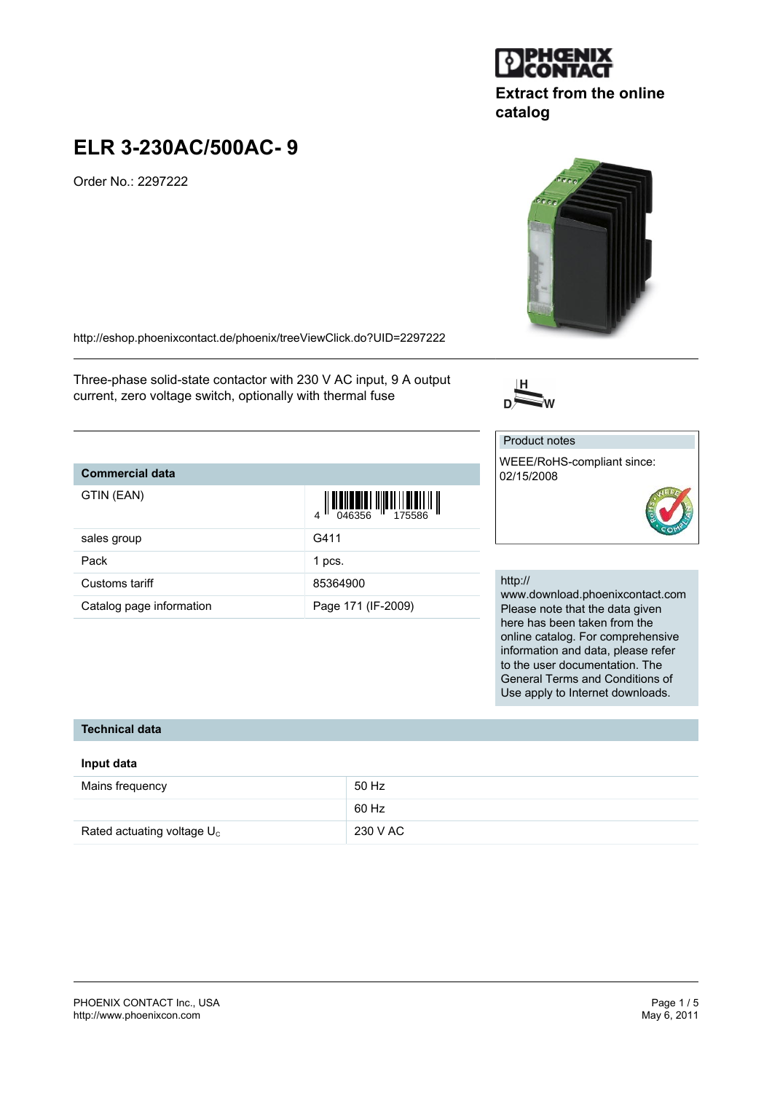#### PHOENIX CONTACT Inc., USA Page 1 / 5<br>
http://www.phoenixcon.com<br>
May 6, 2011 <http://www.phoenixcon.com>

# **ELR 3-230AC/500AC- 9**

Order No.: 2297222

<http://eshop.phoenixcontact.de/phoenix/treeViewClick.do?UID=2297222>

Three-phase solid-state contactor with 230 V AC input, 9 A output current, zero voltage switch, optionally with thermal fuse

## **Commercial data**

| GTIN (EAN)               | $\left\  \prod_{0.046356} \left\  \prod_{1.046356} \left\  \prod_{1.046356} \left\  \prod_{1.046356} \left\  \prod_{1.046356} \left\  \prod_{1.046356} \left\  \prod_{1.046356} \left\  \prod_{1.046356} \left\  \prod_{1.046356} \left\  \prod_{1.046356} \left\  \prod_{1.046356} \left\  \prod_{1.046356} \left\  \prod_{1.046356} \left\  \prod_{1.046$ |
|--------------------------|-------------------------------------------------------------------------------------------------------------------------------------------------------------------------------------------------------------------------------------------------------------------------------------------------------------------------------------------------------------|
| sales group              | G411                                                                                                                                                                                                                                                                                                                                                        |
| Pack                     | 1 pcs.                                                                                                                                                                                                                                                                                                                                                      |
| Customs tariff           | 85364900                                                                                                                                                                                                                                                                                                                                                    |
| Catalog page information | Page 171 (IF-2009)                                                                                                                                                                                                                                                                                                                                          |

#### http://

Product notes

02/15/2008

WEEE/RoHS-compliant since:

www.download.phoenixcontact.com Please note that the data given here has been taken from the online catalog. For comprehensive information and data, please refer to the user documentation. The General Terms and Conditions of Use apply to Internet downloads.

#### **Technical data**

#### **Input data**

| Mains frequency               | 50 Hz    |
|-------------------------------|----------|
|                               | 60 Hz    |
| Rated actuating voltage $U_c$ | 230 V AC |



**catalog**





**Extract from the online**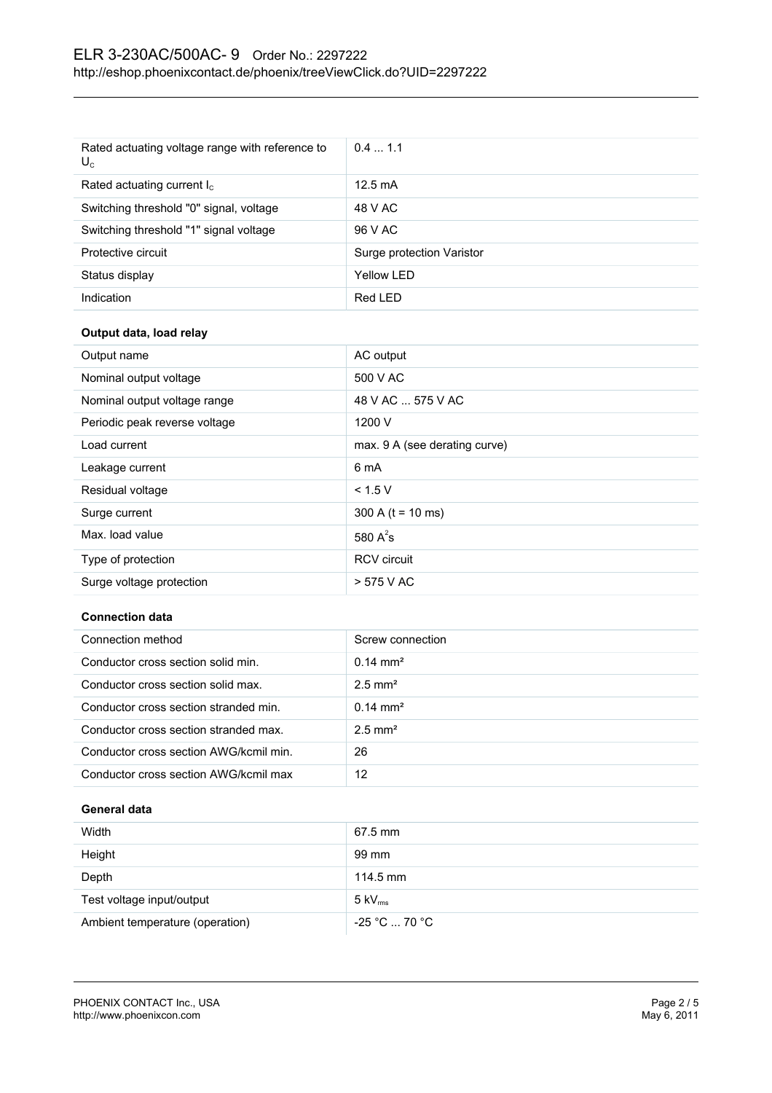| Rated actuating voltage range with reference to<br>$U_c$ | 0.41.1                    |
|----------------------------------------------------------|---------------------------|
| Rated actuating current $I_c$                            | $12.5 \text{ mA}$         |
| Switching threshold "0" signal, voltage                  | 48 V AC                   |
| Switching threshold "1" signal voltage                   | 96 V AC                   |
| Protective circuit                                       | Surge protection Varistor |
| Status display                                           | Yellow LED                |
| Indication                                               | Red LED                   |

## **Output data, load relay**

| Output name                   | AC output                     |
|-------------------------------|-------------------------------|
| Nominal output voltage        | 500 V AC                      |
| Nominal output voltage range  | 48 V AC  575 V AC             |
| Periodic peak reverse voltage | 1200 V                        |
| Load current                  | max. 9 A (see derating curve) |
| Leakage current               | 6 mA                          |
| Residual voltage              | < 1.5 V                       |
| Surge current                 | 300 A ( $t = 10$ ms)          |
| Max. load value               | 580 $A^2$ s                   |
| Type of protection            | <b>RCV</b> circuit            |
| Surge voltage protection      | > 575 V AC                    |

### **Connection data**

| Connection method                      | Screw connection      |
|----------------------------------------|-----------------------|
| Conductor cross section solid min.     | $0.14 \text{ mm}^2$   |
| Conductor cross section solid max.     | $2.5$ mm <sup>2</sup> |
| Conductor cross section stranded min.  | $0.14 \text{ mm}^2$   |
| Conductor cross section stranded max.  | $2.5$ mm <sup>2</sup> |
| Conductor cross section AWG/kcmil min. | 26                    |
| Conductor cross section AWG/kcmil max  | 12                    |

## **General data**

| Width                           | 67.5 mm                      |
|---------------------------------|------------------------------|
| Height                          | 99 mm                        |
| Depth                           | $114.5 \text{ mm}$           |
| Test voltage input/output       | $5 \text{ kV}_{\text{rms}}$  |
| Ambient temperature (operation) | $-25$ °C $\ldots$ 70 °C $\,$ |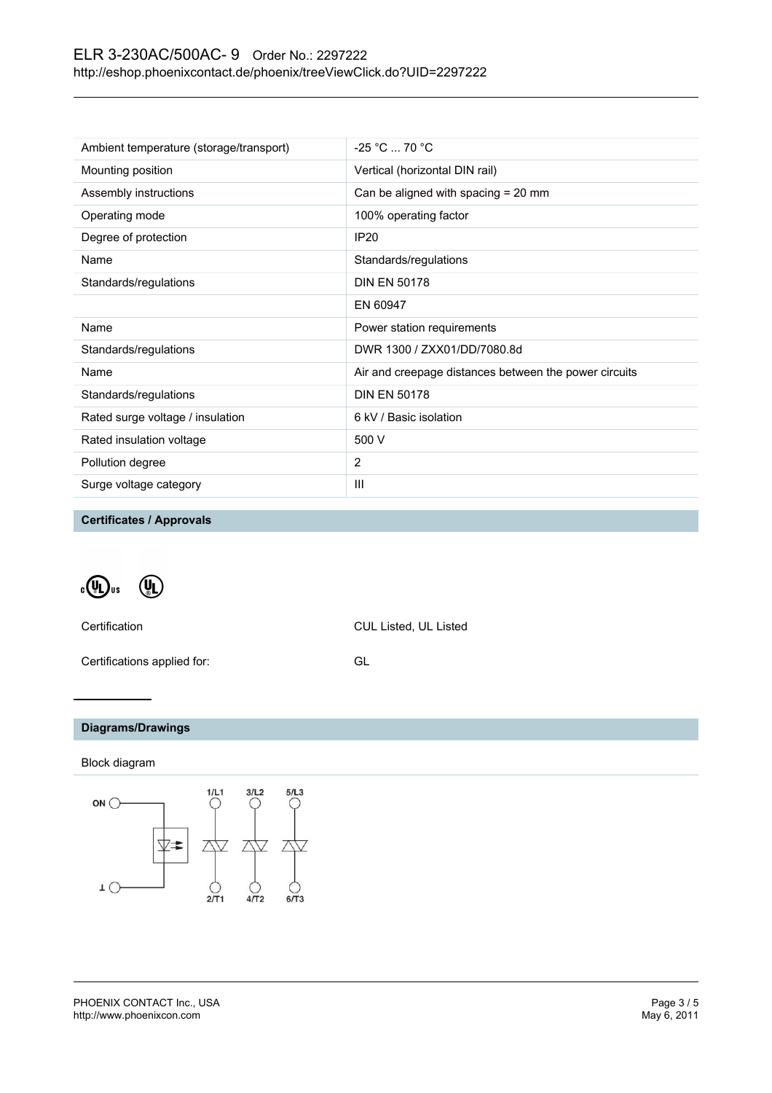# ELR 3-230AC/500AC- 9 Order No.: 2297222 <http://eshop.phoenixcontact.de/phoenix/treeViewClick.do?UID=2297222>

| Ambient temperature (storage/transport) | $-25 °C  70 °C$                                       |
|-----------------------------------------|-------------------------------------------------------|
| Mounting position                       | Vertical (horizontal DIN rail)                        |
| Assembly instructions                   | Can be aligned with spacing = 20 mm                   |
| Operating mode                          | 100% operating factor                                 |
| Degree of protection                    | <b>IP20</b>                                           |
| Name                                    | Standards/regulations                                 |
| Standards/regulations                   | <b>DIN EN 50178</b>                                   |
|                                         | EN 60947                                              |
| Name                                    | Power station requirements                            |
| Standards/regulations                   | DWR 1300 / ZXX01/DD/7080.8d                           |
| Name                                    | Air and creepage distances between the power circuits |
| Standards/regulations                   | <b>DIN EN 50178</b>                                   |
| Rated surge voltage / insulation        | 6 kV / Basic isolation                                |
| Rated insulation voltage                | 500 V                                                 |
| Pollution degree                        | 2                                                     |
| Surge voltage category                  | Ш                                                     |
|                                         |                                                       |

**Certificates / Approvals**

 $_{c}$  (Ii)  $\left( \mathbb{I} \right)$ 

Certification CUL Listed, UL Listed

Certifications applied for: GL

## **Diagrams/Drawings**

Block diagram

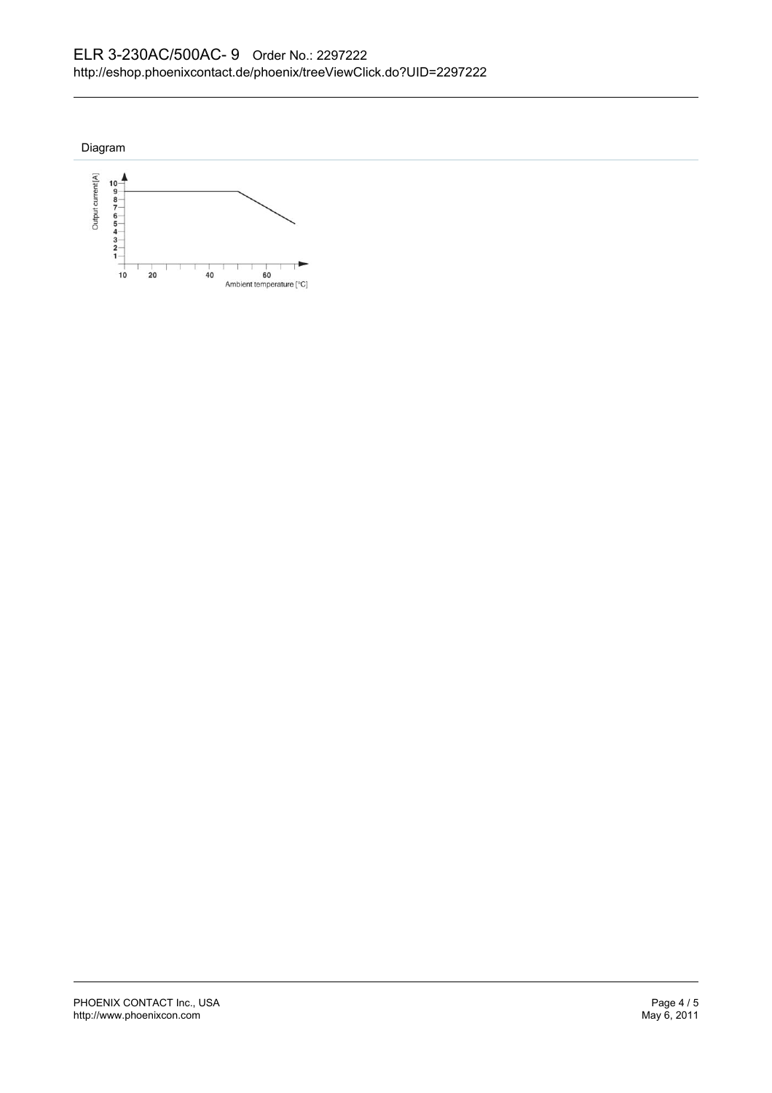